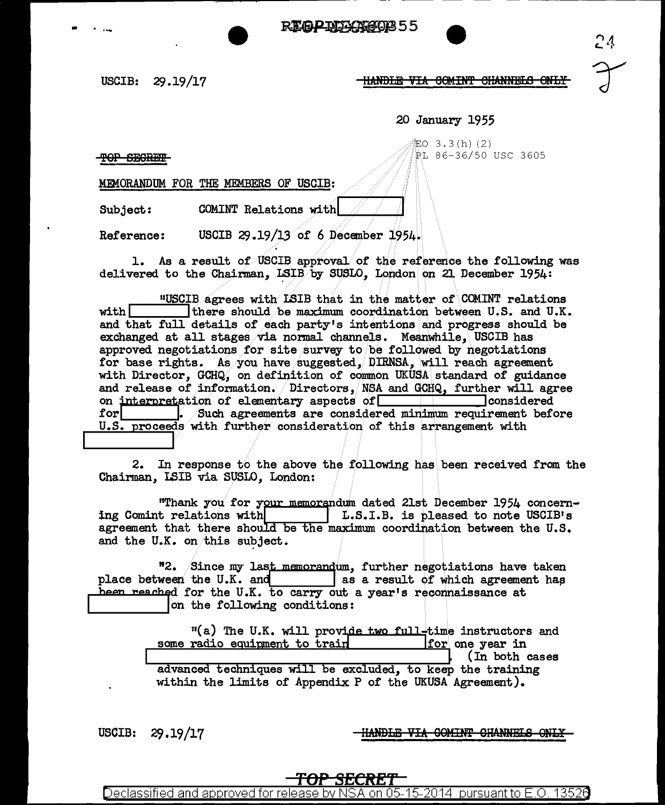.. . .... ~55

USCIB: 29 .19/17

-HANDLE VIA COMINT CHANNELS ONLY

20 January 1955

iEO 3.3(h)(2)  $\gamma$ <sup>i</sup>nd Secrets and Secrets and Secrets and Secrets and Secrets and Secrets and Secrets and Secrets and Secrets and Secrets and Secrets and Secrets and Secrets and Secrets and Secrets and Secrets and Secrets and Secrets 24

MEMORANDUM FOR THE MEMBERS OF USCIB:

Subject: COMINT Relations with

Reference: USCIB  $29.19/13$  of 6 December 1954.

1. As a result of USCIB approval of the reference the following was delivered to the Chairman,  $LSIB$  by SUSLO, London on 21 December 1954:

uunder of COMINT relations with ILSIB that in the matter of COMINT relations with there should be maximum coordination between U.S. and U.K. there should be maximum coordination between U.S. and U.K. and that full details of each party's intentions and progress should be exchanged at all stages via normal channels. Meanwhile, USCIB has approved negotiations for site survey to be followed by negotiations for base rights. As you have suggested, DIRNSA, will reach agreement with Director, GCHQ, on definition of common UKUSA standard of guidance and release of information.  $\sqrt{D}$  Directors, NSA and GCHQ, further will agree on interpretation of elementary aspects of  $\sqrt{D}$ on interpretation of elementary aspects of  $\Box$ <br>for  $\Box$  Such agreements are considered  $f_{\bullet}$  /Such agreements are considered minimum requirement before  $U.S.$  proceeds with further consideration of this arrangement with <sup>E</sup>

2. In response to the above the following has been received from the Chainnan, I.SIB via SUSLO, London:

"Thank you for your memorandum dated 21st December 1954 concern-<br>ing Comint relations with **1.S.I.B.** is pleased to note USCIB's ing Comint relations with *:* L.S.I.B. is pleased to note USCIB1 s agreement that there should be the maximum coordination between the U.S. and the U.K. on this subject.

<sup>12</sup>. Since my last memorandum, further negotiations have taken place between the U.K. and f as a result of which agreement has been reached for the U.K. to carry out a year's reconnaissance at on the following conditions: heen reached for the U.K. to carry out a year's reconnaissance at

> $11$ (a) The U.K. will provide two full-time instructors and radio equipment to train  $\frac{1}{\text{for}}$  one year in some radio equipment to train (In both cases advanced techniques will be excluded, to keep the training within the limits of Appendix P of the UKUSA Agreement).

USCIB: 29.19/17

HANDLE VIA COMINT CHANNELS ONLY

**TOP SECRET**  Declassified and approved for release by NSA on 05-15-2014 pursuant to E.O. 1352e